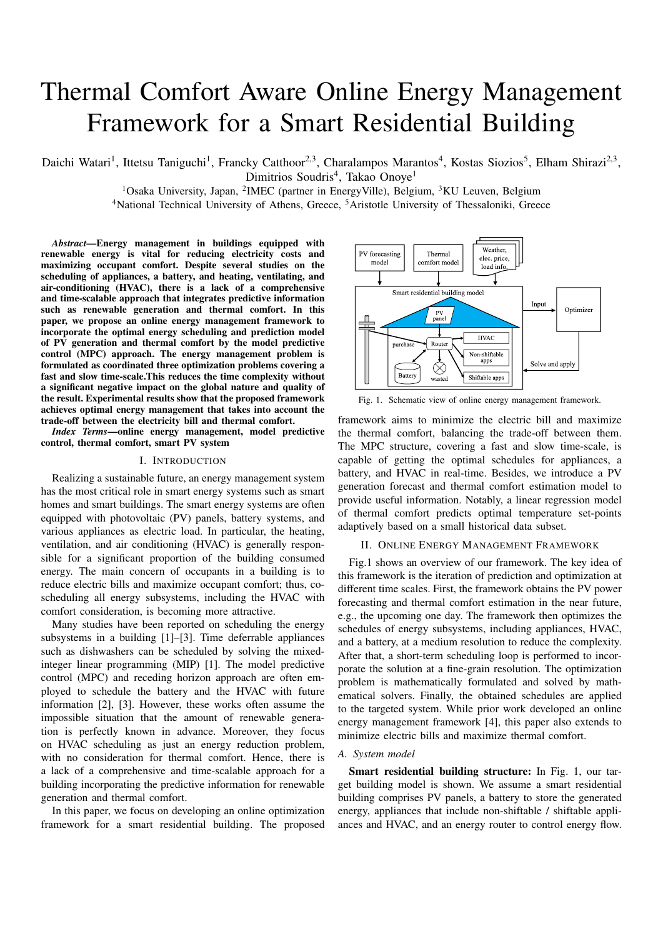# Thermal Comfort Aware Online Energy Management Framework for a Smart Residential Building

Daichi Watari<sup>1</sup>, Ittetsu Taniguchi<sup>1</sup>, Francky Catthoor<sup>2,3</sup>, Charalampos Marantos<sup>4</sup>, Kostas Siozios<sup>5</sup>, Elham Shirazi<sup>2,3</sup>, Dimitrios Soudris<sup>4</sup>, Takao Onoye<sup>1</sup>

<sup>1</sup>Osaka University, Japan, <sup>2</sup>IMEC (partner in EnergyVille), Belgium, <sup>3</sup>KU Leuven, Belgium

<sup>4</sup>National Technical University of Athens, Greece, <sup>5</sup>Aristotle University of Thessaloniki, Greece

*Abstract*—Energy management in buildings equipped with renewable energy is vital for reducing electricity costs and maximizing occupant comfort. Despite several studies on the scheduling of appliances, a battery, and heating, ventilating, and air-conditioning (HVAC), there is a lack of a comprehensive and time-scalable approach that integrates predictive information such as renewable generation and thermal comfort. In this paper, we propose an online energy management framework to incorporate the optimal energy scheduling and prediction model of PV generation and thermal comfort by the model predictive control (MPC) approach. The energy management problem is formulated as coordinated three optimization problems covering a fast and slow time-scale.This reduces the time complexity without a significant negative impact on the global nature and quality of the result. Experimental results show that the proposed framework achieves optimal energy management that takes into account the trade-off between the electricity bill and thermal comfort.

*Index Terms*—online energy management, model predictive control, thermal comfort, smart PV system

## I. INTRODUCTION

Realizing a sustainable future, an energy management system has the most critical role in smart energy systems such as smart homes and smart buildings. The smart energy systems are often equipped with photovoltaic (PV) panels, battery systems, and various appliances as electric load. In particular, the heating, ventilation, and air conditioning (HVAC) is generally responsible for a significant proportion of the building consumed energy. The main concern of occupants in a building is to reduce electric bills and maximize occupant comfort; thus, coscheduling all energy subsystems, including the HVAC with comfort consideration, is becoming more attractive.

Many studies have been reported on scheduling the energy subsystems in a building [1]–[3]. Time deferrable appliances such as dishwashers can be scheduled by solving the mixedinteger linear programming (MIP) [1]. The model predictive control (MPC) and receding horizon approach are often employed to schedule the battery and the HVAC with future information [2], [3]. However, these works often assume the impossible situation that the amount of renewable generation is perfectly known in advance. Moreover, they focus on HVAC scheduling as just an energy reduction problem, with no consideration for thermal comfort. Hence, there is a lack of a comprehensive and time-scalable approach for a building incorporating the predictive information for renewable generation and thermal comfort.

In this paper, we focus on developing an online optimization framework for a smart residential building. The proposed



Fig. 1. Schematic view of online energy management framework.

framework aims to minimize the electric bill and maximize the thermal comfort, balancing the trade-off between them. The MPC structure, covering a fast and slow time-scale, is capable of getting the optimal schedules for appliances, a battery, and HVAC in real-time. Besides, we introduce a PV generation forecast and thermal comfort estimation model to provide useful information. Notably, a linear regression model of thermal comfort predicts optimal temperature set-points adaptively based on a small historical data subset.

## II. ONLINE ENERGY MANAGEMENT FRAMEWORK

Fig.1 shows an overview of our framework. The key idea of this framework is the iteration of prediction and optimization at different time scales. First, the framework obtains the PV power forecasting and thermal comfort estimation in the near future, e.g., the upcoming one day. The framework then optimizes the schedules of energy subsystems, including appliances, HVAC, and a battery, at a medium resolution to reduce the complexity. After that, a short-term scheduling loop is performed to incorporate the solution at a fine-grain resolution. The optimization problem is mathematically formulated and solved by mathematical solvers. Finally, the obtained schedules are applied to the targeted system. While prior work developed an online energy management framework [4], this paper also extends to minimize electric bills and maximize thermal comfort.

## *A. System model*

Smart residential building structure: In Fig. 1, our target building model is shown. We assume a smart residential building comprises PV panels, a battery to store the generated energy, appliances that include non-shiftable / shiftable appliances and HVAC, and an energy router to control energy flow.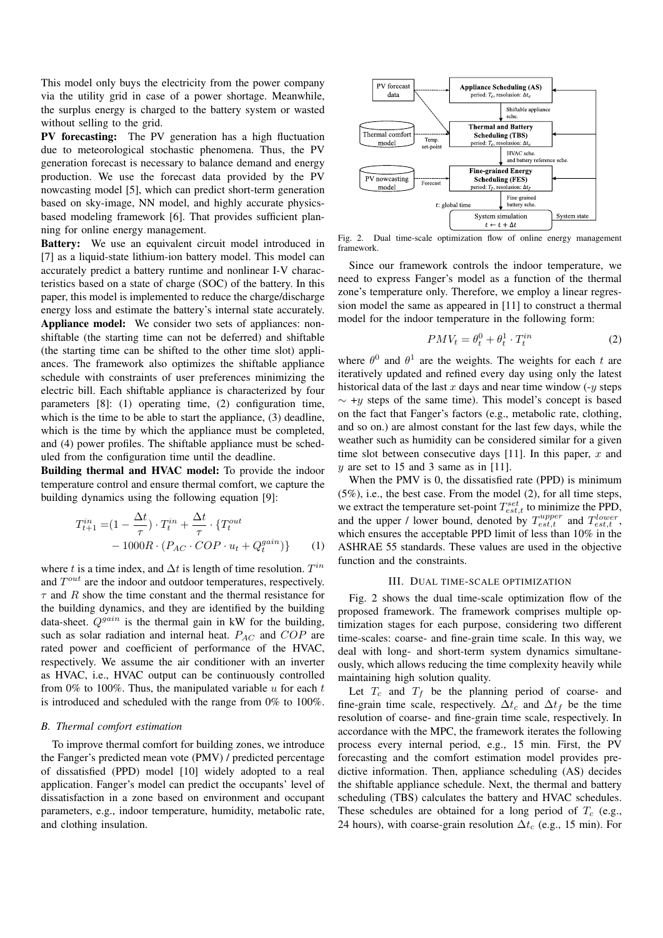This model only buys the electricity from the power company via the utility grid in case of a power shortage. Meanwhile, the surplus energy is charged to the battery system or wasted without selling to the grid.

PV forecasting: The PV generation has a high fluctuation due to meteorological stochastic phenomena. Thus, the PV generation forecast is necessary to balance demand and energy production. We use the forecast data provided by the PV nowcasting model [5], which can predict short-term generation based on sky-image, NN model, and highly accurate physicsbased modeling framework [6]. That provides sufficient planning for online energy management.

Battery: We use an equivalent circuit model introduced in [7] as a liquid-state lithium-ion battery model. This model can accurately predict a battery runtime and nonlinear I-V characteristics based on a state of charge (SOC) of the battery. In this paper, this model is implemented to reduce the charge/discharge energy loss and estimate the battery's internal state accurately. Appliance model: We consider two sets of appliances: nonshiftable (the starting time can not be deferred) and shiftable (the starting time can be shifted to the other time slot) appliances. The framework also optimizes the shiftable appliance schedule with constraints of user preferences minimizing the electric bill. Each shiftable appliance is characterized by four parameters [8]: (1) operating time, (2) configuration time, which is the time to be able to start the appliance, (3) deadline, which is the time by which the appliance must be completed, and (4) power profiles. The shiftable appliance must be scheduled from the configuration time until the deadline.

Building thermal and HVAC model: To provide the indoor temperature control and ensure thermal comfort, we capture the building dynamics using the following equation [9]:

$$
T_{t+1}^{in} = (1 - \frac{\Delta t}{\tau}) \cdot T_t^{in} + \frac{\Delta t}{\tau} \cdot \{T_t^{out}
$$

$$
- 1000R \cdot (P_{AC} \cdot COP \cdot u_t + Q_t^{gain})\}
$$
(1)

where t is a time index, and  $\Delta t$  is length of time resolution.  $T^{in}$ and  $T^{out}$  are the indoor and outdoor temperatures, respectively.  $\tau$  and R show the time constant and the thermal resistance for the building dynamics, and they are identified by the building data-sheet.  $Q<sup>gain</sup>$  is the thermal gain in kW for the building, such as solar radiation and internal heat.  $P_{AC}$  and  $COP$  are rated power and coefficient of performance of the HVAC, respectively. We assume the air conditioner with an inverter as HVAC, i.e., HVAC output can be continuously controlled from 0% to 100%. Thus, the manipulated variable  $u$  for each  $t$ is introduced and scheduled with the range from 0% to 100%.

## *B. Thermal comfort estimation*

To improve thermal comfort for building zones, we introduce the Fanger's predicted mean vote (PMV) / predicted percentage of dissatisfied (PPD) model [10] widely adopted to a real application. Fanger's model can predict the occupants' level of dissatisfaction in a zone based on environment and occupant parameters, e.g., indoor temperature, humidity, metabolic rate, and clothing insulation.



Fig. 2. Dual time-scale optimization flow of online energy management framework.

Since our framework controls the indoor temperature, we need to express Fanger's model as a function of the thermal zone's temperature only. Therefore, we employ a linear regression model the same as appeared in [11] to construct a thermal model for the indoor temperature in the following form:

$$
PMV_t = \theta_t^0 + \theta_t^1 \cdot T_t^{in} \tag{2}
$$

where  $\theta^0$  and  $\theta^1$  are the weights. The weights for each t are iteratively updated and refined every day using only the latest historical data of the last x days and near time window  $(-y \text{ steps})$  $\sim$  +y steps of the same time). This model's concept is based on the fact that Fanger's factors (e.g., metabolic rate, clothing, and so on.) are almost constant for the last few days, while the weather such as humidity can be considered similar for a given time slot between consecutive days [11]. In this paper,  $x$  and  $y$  are set to 15 and 3 same as in [11].

When the PMV is 0, the dissatisfied rate (PPD) is minimum (5%), i.e., the best case. From the model (2), for all time steps, we extract the temperature set-point  $T_{est,t}^{set}$  to minimize the PPD, and the upper / lower bound, denoted by  $T_{est,t}^{upper}$  and  $T_{est,t}^{lower}$ , which ensures the acceptable PPD limit of less than 10% in the ASHRAE 55 standards. These values are used in the objective function and the constraints.

## III. DUAL TIME-SCALE OPTIMIZATION

Fig. 2 shows the dual time-scale optimization flow of the proposed framework. The framework comprises multiple optimization stages for each purpose, considering two different time-scales: coarse- and fine-grain time scale. In this way, we deal with long- and short-term system dynamics simultaneously, which allows reducing the time complexity heavily while maintaining high solution quality.

Let  $T_c$  and  $T_f$  be the planning period of coarse- and fine-grain time scale, respectively.  $\Delta t_c$  and  $\Delta t_f$  be the time resolution of coarse- and fine-grain time scale, respectively. In accordance with the MPC, the framework iterates the following process every internal period, e.g., 15 min. First, the PV forecasting and the comfort estimation model provides predictive information. Then, appliance scheduling (AS) decides the shiftable appliance schedule. Next, the thermal and battery scheduling (TBS) calculates the battery and HVAC schedules. These schedules are obtained for a long period of  $T_c$  (e.g., 24 hours), with coarse-grain resolution  $\Delta t_c$  (e.g., 15 min). For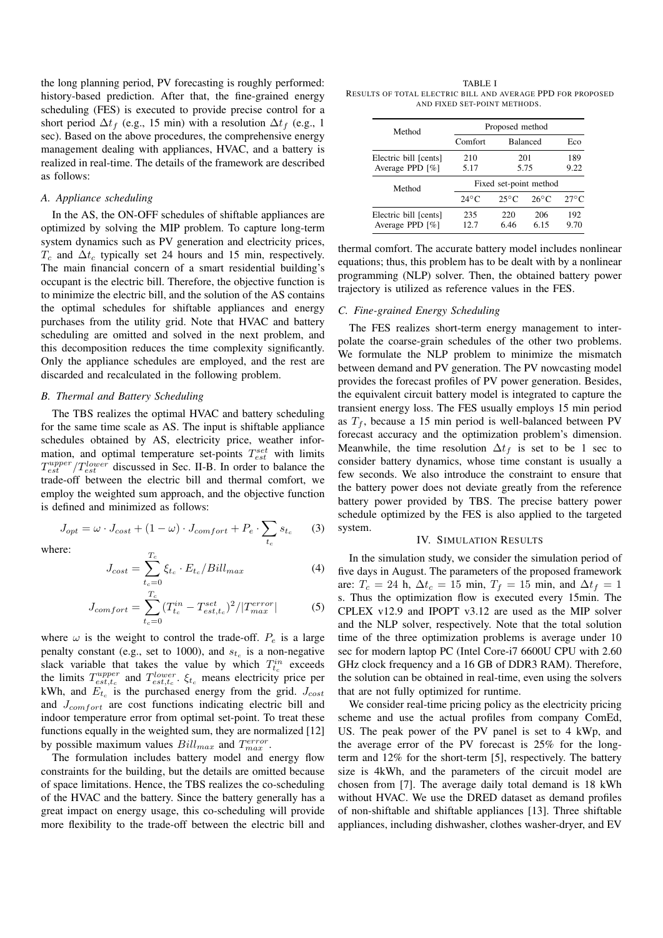the long planning period, PV forecasting is roughly performed: history-based prediction. After that, the fine-grained energy scheduling (FES) is executed to provide precise control for a short period  $\Delta t_f$  (e.g., 15 min) with a resolution  $\Delta t_f$  (e.g., 1 sec). Based on the above procedures, the comprehensive energy management dealing with appliances, HVAC, and a battery is realized in real-time. The details of the framework are described as follows:

### *A. Appliance scheduling*

In the AS, the ON-OFF schedules of shiftable appliances are optimized by solving the MIP problem. To capture long-term system dynamics such as PV generation and electricity prices,  $T_c$  and  $\Delta t_c$  typically set 24 hours and 15 min, respectively. The main financial concern of a smart residential building's occupant is the electric bill. Therefore, the objective function is to minimize the electric bill, and the solution of the AS contains the optimal schedules for shiftable appliances and energy purchases from the utility grid. Note that HVAC and battery scheduling are omitted and solved in the next problem, and this decomposition reduces the time complexity significantly. Only the appliance schedules are employed, and the rest are discarded and recalculated in the following problem.

## *B. Thermal and Battery Scheduling*

The TBS realizes the optimal HVAC and battery scheduling for the same time scale as AS. The input is shiftable appliance schedules obtained by AS, electricity price, weather information, and optimal temperature set-points  $T_{est}^{set}$  with limits  $T_{est}^{upper}/T_{est}^{lower}$  discussed in Sec. II-B. In order to balance the trade-off between the electric bill and thermal comfort, we employ the weighted sum approach, and the objective function is defined and minimized as follows:

 $J_{opt} = \omega \cdot J_{cost} + (1 - \omega) \cdot J_{comfort} + P_e \cdot \sum$  $t_c$  $s_{t_c}$ (3)

where:

$$
J_{cost} = \sum_{t_c=0}^{T_c} \xi_{t_c} \cdot E_{t_c} / Bill_{max}
$$
 (4)

$$
J_{comfort} = \sum_{t_c=0}^{T_c} (T_{t_c}^{in} - T_{est,t_c}^{set})^2 / |T_{max}^{error}|
$$
 (5)

where  $\omega$  is the weight to control the trade-off.  $P_e$  is a large penalty constant (e.g., set to 1000), and  $s_{t_c}$  is a non-negative slack variable that takes the value by which  $T_{t_c}^{in}$  exceeds the limits  $T_{est,t_c}^{upper}$  and  $T_{est,t_c}^{lower}$ .  $\xi_{t_c}$  means electricity price per kWh, and  $E_{t_c}$  is the purchased energy from the grid.  $J_{cost}$ and  $J_{confort}$  are cost functions indicating electric bill and indoor temperature error from optimal set-point. To treat these functions equally in the weighted sum, they are normalized [12] by possible maximum values  $Bill_{max}$  and  $T_{max}^{error}$ .

The formulation includes battery model and energy flow constraints for the building, but the details are omitted because of space limitations. Hence, the TBS realizes the co-scheduling of the HVAC and the battery. Since the battery generally has a great impact on energy usage, this co-scheduling will provide more flexibility to the trade-off between the electric bill and

TABLE I RESULTS OF TOTAL ELECTRIC BILL AND AVERAGE PPD FOR PROPOSED AND FIXED SET-POINT METHODS.

| Method                    | Proposed method        |                 |                |                |
|---------------------------|------------------------|-----------------|----------------|----------------|
|                           | Comfort                | <b>Balanced</b> |                | Eco            |
| Electric bill [cents]     | 210<br>5.17            | 201<br>5.75     |                | 189<br>9.22    |
| Average PPD [%]<br>Method | Fixed set-point method |                 |                |                |
|                           | $24^{\circ}$ C         | $25^{\circ}$ C  | $26^{\circ}$ C | $27^{\circ}$ C |
| Electric bill [cents]     | 235                    | 220             | 206            | 192            |
| Average PPD [%]           | 12 7                   | 6.46            | 6.15           | 9.70           |

thermal comfort. The accurate battery model includes nonlinear equations; thus, this problem has to be dealt with by a nonlinear programming (NLP) solver. Then, the obtained battery power trajectory is utilized as reference values in the FES.

## *C. Fine-grained Energy Scheduling*

The FES realizes short-term energy management to interpolate the coarse-grain schedules of the other two problems. We formulate the NLP problem to minimize the mismatch between demand and PV generation. The PV nowcasting model provides the forecast profiles of PV power generation. Besides, the equivalent circuit battery model is integrated to capture the transient energy loss. The FES usually employs 15 min period as  $T_f$ , because a 15 min period is well-balanced between PV forecast accuracy and the optimization problem's dimension. Meanwhile, the time resolution  $\Delta t_f$  is set to be 1 sec to consider battery dynamics, whose time constant is usually a few seconds. We also introduce the constraint to ensure that the battery power does not deviate greatly from the reference battery power provided by TBS. The precise battery power schedule optimized by the FES is also applied to the targeted system.

### IV. SIMULATION RESULTS

In the simulation study, we consider the simulation period of five days in August. The parameters of the proposed framework are:  $T_c = 24$  h,  $\Delta t_c = 15$  min,  $T_f = 15$  min, and  $\Delta t_f = 1$ s. Thus the optimization flow is executed every 15min. The CPLEX v12.9 and IPOPT v3.12 are used as the MIP solver and the NLP solver, respectively. Note that the total solution time of the three optimization problems is average under 10 sec for modern laptop PC (Intel Core-i7 6600U CPU with 2.60 GHz clock frequency and a 16 GB of DDR3 RAM). Therefore, the solution can be obtained in real-time, even using the solvers that are not fully optimized for runtime.

We consider real-time pricing policy as the electricity pricing scheme and use the actual profiles from company ComEd, US. The peak power of the PV panel is set to 4 kWp, and the average error of the PV forecast is 25% for the longterm and 12% for the short-term [5], respectively. The battery size is 4kWh, and the parameters of the circuit model are chosen from [7]. The average daily total demand is 18 kWh without HVAC. We use the DRED dataset as demand profiles of non-shiftable and shiftable appliances [13]. Three shiftable appliances, including dishwasher, clothes washer-dryer, and EV